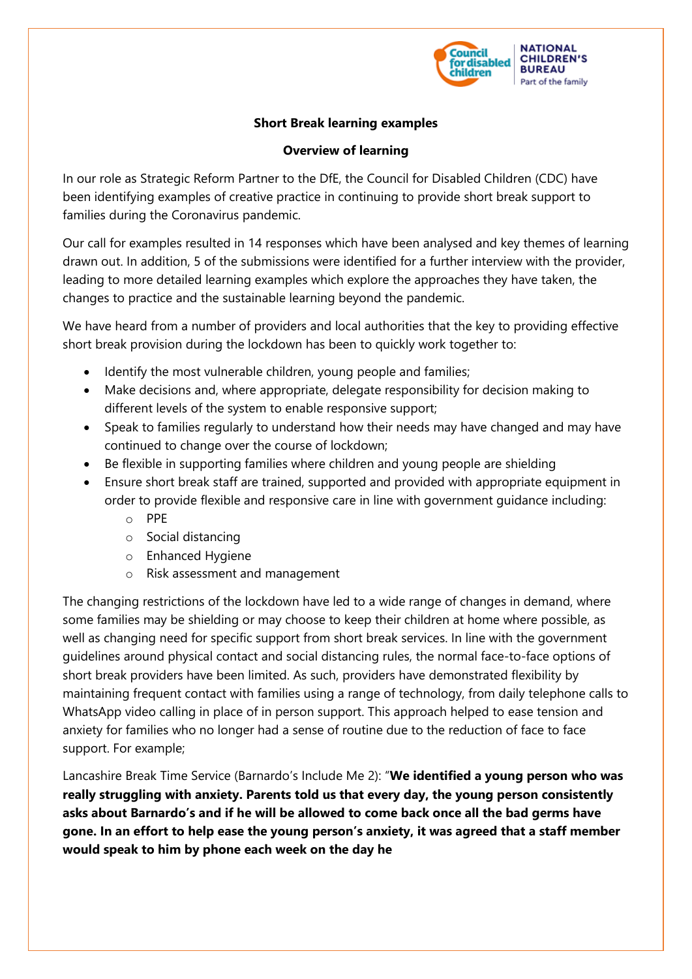

## **Short Break learning examples**

## **Overview of learning**

In our role as Strategic Reform Partner to the DfE, the Council for Disabled Children (CDC) have been identifying examples of creative practice in continuing to provide short break support to families during the Coronavirus pandemic.

Our call for examples resulted in 14 responses which have been analysed and key themes of learning drawn out. In addition, 5 of the submissions were identified for a further interview with the provider, leading to more detailed learning examples which explore the approaches they have taken, the changes to practice and the sustainable learning beyond the pandemic.

We have heard from a number of providers and local authorities that the key to providing effective short break provision during the lockdown has been to quickly work together to:

- Identify the most vulnerable children, young people and families;
- Make decisions and, where appropriate, delegate responsibility for decision making to different levels of the system to enable responsive support;
- Speak to families regularly to understand how their needs may have changed and may have continued to change over the course of lockdown;
- Be flexible in supporting families where children and young people are shielding
- Ensure short break staff are trained, supported and provided with appropriate equipment in order to provide flexible and responsive care in line with government guidance including:
	- o PPE
	- o Social distancing
	- o Enhanced Hygiene
	- o Risk assessment and management

The changing restrictions of the lockdown have led to a wide range of changes in demand, where some families may be shielding or may choose to keep their children at home where possible, as well as changing need for specific support from short break services. In line with the government guidelines around physical contact and social distancing rules, the normal face-to-face options of short break providers have been limited. As such, providers have demonstrated flexibility by maintaining frequent contact with families using a range of technology, from daily telephone calls to WhatsApp video calling in place of in person support. This approach helped to ease tension and anxiety for families who no longer had a sense of routine due to the reduction of face to face support. For example;

Lancashire Break Time Service (Barnardo's Include Me 2): "**We identified a young person who was really struggling with anxiety. Parents told us that every day, the young person consistently asks about Barnardo's and if he will be allowed to come back once all the bad germs have gone. In an effort to help ease the young person's anxiety, it was agreed that a staff member would speak to him by phone each week on the day he**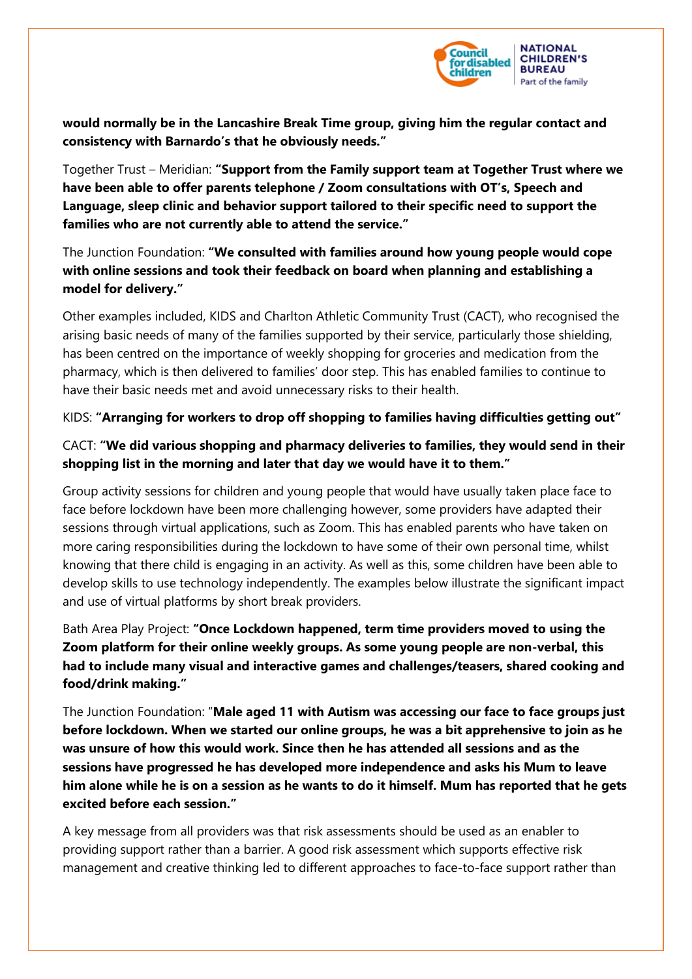

**would normally be in the Lancashire Break Time group, giving him the regular contact and consistency with Barnardo's that he obviously needs."**

Together Trust – Meridian: **"Support from the Family support team at Together Trust where we have been able to offer parents telephone / Zoom consultations with OT's, Speech and Language, sleep clinic and behavior support tailored to their specific need to support the families who are not currently able to attend the service."**

The Junction Foundation: **"We consulted with families around how young people would cope with online sessions and took their feedback on board when planning and establishing a model for delivery."**

Other examples included, KIDS and Charlton Athletic Community Trust (CACT), who recognised the arising basic needs of many of the families supported by their service, particularly those shielding, has been centred on the importance of weekly shopping for groceries and medication from the pharmacy, which is then delivered to families' door step. This has enabled families to continue to have their basic needs met and avoid unnecessary risks to their health.

KIDS: **"Arranging for workers to drop off shopping to families having difficulties getting out"**

## CACT: **"We did various shopping and pharmacy deliveries to families, they would send in their shopping list in the morning and later that day we would have it to them."**

Group activity sessions for children and young people that would have usually taken place face to face before lockdown have been more challenging however, some providers have adapted their sessions through virtual applications, such as Zoom. This has enabled parents who have taken on more caring responsibilities during the lockdown to have some of their own personal time, whilst knowing that there child is engaging in an activity. As well as this, some children have been able to develop skills to use technology independently. The examples below illustrate the significant impact and use of virtual platforms by short break providers.

Bath Area Play Project: **"Once Lockdown happened, term time providers moved to using the Zoom platform for their online weekly groups. As some young people are non-verbal, this had to include many visual and interactive games and challenges/teasers, shared cooking and food/drink making."**

The Junction Foundation: "**Male aged 11 with Autism was accessing our face to face groups just before lockdown. When we started our online groups, he was a bit apprehensive to join as he was unsure of how this would work. Since then he has attended all sessions and as the sessions have progressed he has developed more independence and asks his Mum to leave him alone while he is on a session as he wants to do it himself. Mum has reported that he gets excited before each session."**

A key message from all providers was that risk assessments should be used as an enabler to providing support rather than a barrier. A good risk assessment which supports effective risk management and creative thinking led to different approaches to face-to-face support rather than